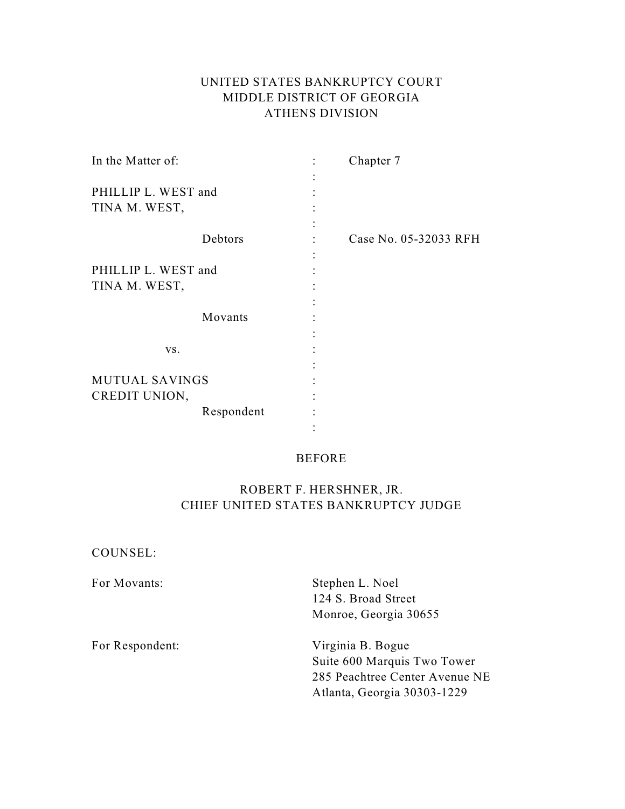# UNITED STATES BANKRUPTCY COURT MIDDLE DISTRICT OF GEORGIA ATHENS DIVISION

| In the Matter of:                    | Chapter 7             |
|--------------------------------------|-----------------------|
| PHILLIP L. WEST and<br>TINA M. WEST, |                       |
| Debtors                              | Case No. 05-32033 RFH |
| PHILLIP L. WEST and<br>TINA M. WEST, |                       |
| Movants                              |                       |
| VS.                                  |                       |
| <b>MUTUAL SAVINGS</b>                |                       |
| CREDIT UNION,                        |                       |
| Respondent                           |                       |
|                                      |                       |

## BEFORE

# ROBERT F. HERSHNER, JR. CHIEF UNITED STATES BANKRUPTCY JUDGE

| COUNSEL: |
|----------|
|----------|

| For Movants:    | Stephen L. Noel                |
|-----------------|--------------------------------|
|                 | 124 S. Broad Street            |
|                 | Monroe, Georgia 30655          |
| For Respondent: | Virginia B. Bogue              |
|                 | Suite 600 Marquis Two Tower    |
|                 | 285 Peachtree Center Avenue NE |
|                 | Atlanta, Georgia 30303-1229    |
|                 |                                |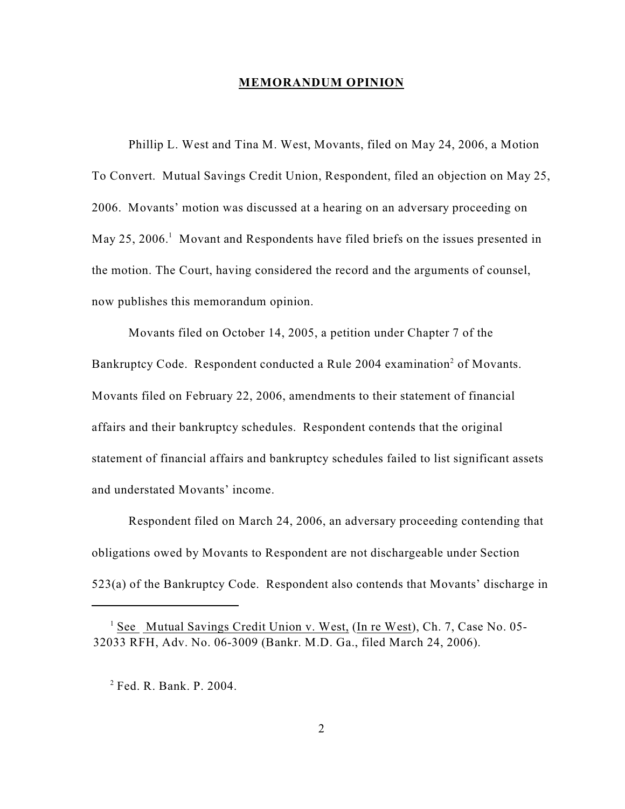### **MEMORANDUM OPINION**

Phillip L. West and Tina M. West, Movants, filed on May 24, 2006, a Motion To Convert. Mutual Savings Credit Union, Respondent, filed an objection on May 25, 2006. Movants' motion was discussed at a hearing on an adversary proceeding on May 25, 2006.<sup>1</sup> Movant and Respondents have filed briefs on the issues presented in the motion. The Court, having considered the record and the arguments of counsel, now publishes this memorandum opinion.

Movants filed on October 14, 2005, a petition under Chapter 7 of the Bankruptcy Code. Respondent conducted a Rule 2004 examination<sup>2</sup> of Movants. Movants filed on February 22, 2006, amendments to their statement of financial affairs and their bankruptcy schedules. Respondent contends that the original statement of financial affairs and bankruptcy schedules failed to list significant assets and understated Movants' income.

Respondent filed on March 24, 2006, an adversary proceeding contending that obligations owed by Movants to Respondent are not dischargeable under Section 523(a) of the Bankruptcy Code. Respondent also contends that Movants' discharge in

 $1$  See Mutual Savings Credit Union v. West, (In re West), Ch. 7, Case No. 05-32033 RFH, Adv. No. 06-3009 (Bankr. M.D. Ga., filed March 24, 2006).

 $2$  Fed. R. Bank. P. 2004.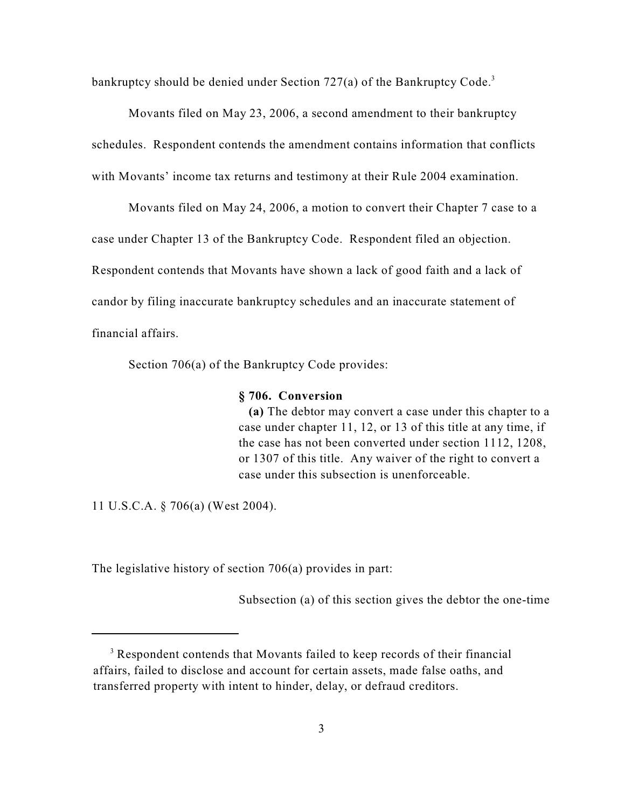bankruptcy should be denied under Section  $727(a)$  of the Bankruptcy Code.<sup>3</sup>

Movants filed on May 23, 2006, a second amendment to their bankruptcy schedules. Respondent contends the amendment contains information that conflicts with Movants' income tax returns and testimony at their Rule 2004 examination.

Movants filed on May 24, 2006, a motion to convert their Chapter 7 case to a case under Chapter 13 of the Bankruptcy Code. Respondent filed an objection. Respondent contends that Movants have shown a lack of good faith and a lack of candor by filing inaccurate bankruptcy schedules and an inaccurate statement of financial affairs.

Section 706(a) of the Bankruptcy Code provides:

### **§ 706. Conversion**

 **(a)** The debtor may convert a case under this chapter to a case under chapter 11, 12, or 13 of this title at any time, if the case has not been converted under section 1112, 1208, or 1307 of this title. Any waiver of the right to convert a case under this subsection is unenforceable.

11 U.S.C.A. § 706(a) (West 2004).

The legislative history of section 706(a) provides in part:

Subsection (a) of this section gives the debtor the one-time

<sup>&</sup>lt;sup>3</sup> Respondent contends that Movants failed to keep records of their financial affairs, failed to disclose and account for certain assets, made false oaths, and transferred property with intent to hinder, delay, or defraud creditors.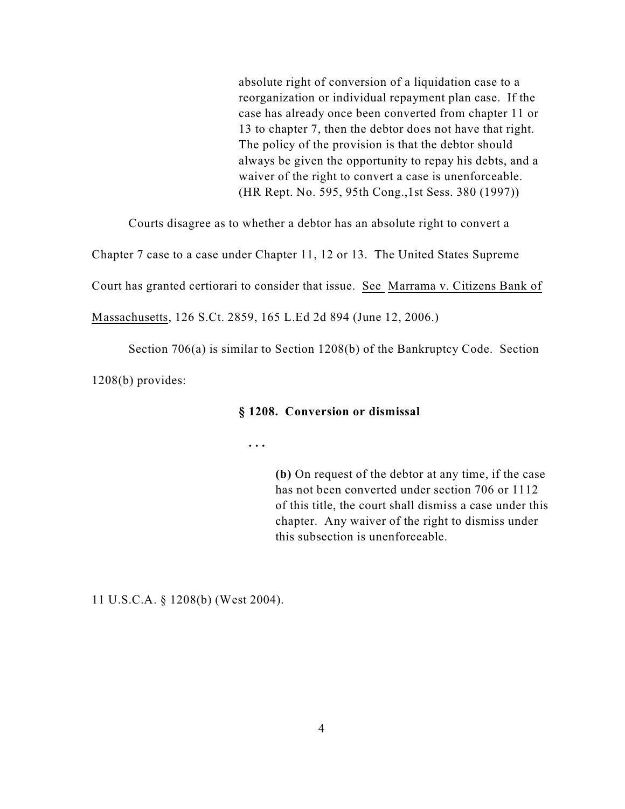absolute right of conversion of a liquidation case to a reorganization or individual repayment plan case. If the case has already once been converted from chapter 11 or 13 to chapter 7, then the debtor does not have that right. The policy of the provision is that the debtor should always be given the opportunity to repay his debts, and a waiver of the right to convert a case is unenforceable. (HR Rept. No. 595, 95th Cong.,1st Sess. 380 (1997))

Courts disagree as to whether a debtor has an absolute right to convert a

Chapter 7 case to a case under Chapter 11, 12 or 13. The United States Supreme

Court has granted certiorari to consider that issue. See Marrama v. Citizens Bank of

Massachusetts, 126 S.Ct. 2859, 165 L.Ed 2d 894 (June 12, 2006.)

Section 706(a) is similar to Section 1208(b) of the Bankruptcy Code. Section

1208(b) provides:

#### **§ 1208. Conversion or dismissal**

 **. . .**

**(b)** On request of the debtor at any time, if the case has not been converted under section 706 or 1112 of this title, the court shall dismiss a case under this chapter. Any waiver of the right to dismiss under this subsection is unenforceable.

11 U.S.C.A. § 1208(b) (West 2004).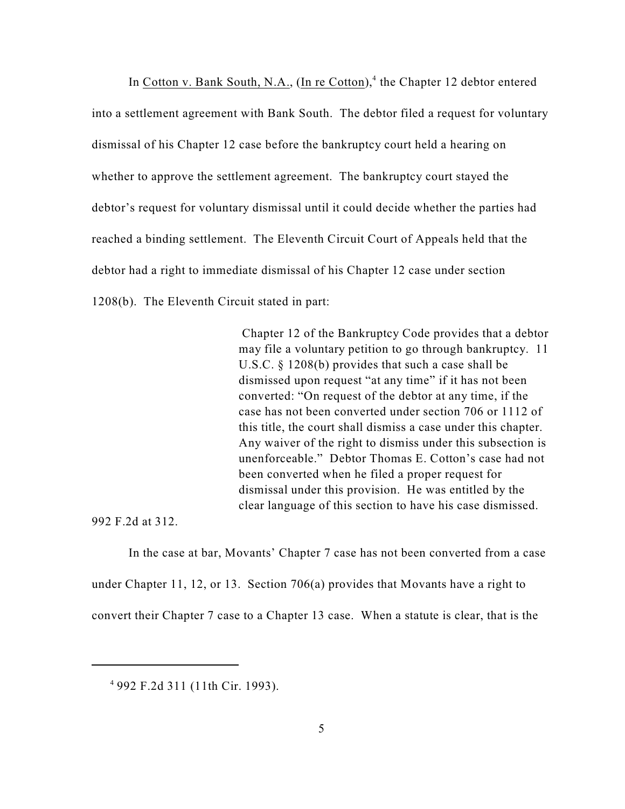In Cotton v. Bank South, N.A.,  $(In \nre$  Cotton),<sup>4</sup> the Chapter 12 debtor entered into a settlement agreement with Bank South. The debtor filed a request for voluntary dismissal of his Chapter 12 case before the bankruptcy court held a hearing on whether to approve the settlement agreement. The bankruptcy court stayed the debtor's request for voluntary dismissal until it could decide whether the parties had reached a binding settlement. The Eleventh Circuit Court of Appeals held that the debtor had a right to immediate dismissal of his Chapter 12 case under section 1208(b). The Eleventh Circuit stated in part:

> Chapter 12 of the Bankruptcy Code provides that a debtor may file a voluntary petition to go through bankruptcy. 11 U.S.C. § 1208(b) provides that such a case shall be dismissed upon request "at any time" if it has not been converted: "On request of the debtor at any time, if the case has not been converted under section 706 or 1112 of this title, the court shall dismiss a case under this chapter. Any waiver of the right to dismiss under this subsection is unenforceable." Debtor Thomas E. Cotton's case had not been converted when he filed a proper request for dismissal under this provision. He was entitled by the clear language of this section to have his case dismissed.

992 F.2d at 312.

In the case at bar, Movants' Chapter 7 case has not been converted from a case under Chapter 11, 12, or 13. Section 706(a) provides that Movants have a right to convert their Chapter 7 case to a Chapter 13 case. When a statute is clear, that is the

<sup>992</sup> F.2d 311 (11th Cir. 1993). <sup>4</sup>